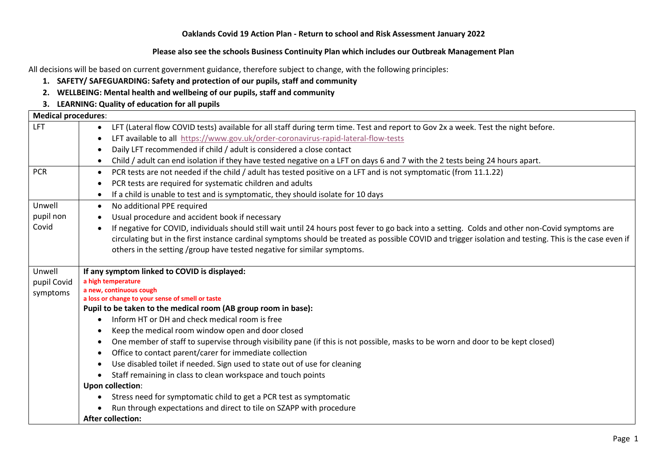### **Oaklands Covid 19 Action Plan - Return to school and Risk Assessment January 2022**

### **Please also see the schools Business Continuity Plan which includes our Outbreak Management Plan**

All decisions will be based on current government guidance, therefore subject to change, with the following principles:

- **1. SAFETY/ SAFEGUARDING: Safety and protection of our pupils, staff and community**
- **2. WELLBEING: Mental health and wellbeing of our pupils, staff and community**

### **3. LEARNING: Quality of education for all pupils**

| <b>Medical procedures:</b> |                                                                                                                                                         |  |
|----------------------------|---------------------------------------------------------------------------------------------------------------------------------------------------------|--|
| <b>LFT</b>                 | LFT (Lateral flow COVID tests) available for all staff during term time. Test and report to Gov 2x a week. Test the night before.                       |  |
|                            | LFT available to all https://www.gov.uk/order-coronavirus-rapid-lateral-flow-tests                                                                      |  |
|                            | Daily LFT recommended if child / adult is considered a close contact                                                                                    |  |
|                            | Child / adult can end isolation if they have tested negative on a LFT on days 6 and 7 with the 2 tests being 24 hours apart.                            |  |
| <b>PCR</b>                 | PCR tests are not needed if the child / adult has tested positive on a LFT and is not symptomatic (from 11.1.22)                                        |  |
|                            | PCR tests are required for systematic children and adults                                                                                               |  |
|                            | If a child is unable to test and is symptomatic, they should isolate for 10 days                                                                        |  |
| Unwell                     | No additional PPE required<br>$\bullet$                                                                                                                 |  |
| pupil non                  | Usual procedure and accident book if necessary                                                                                                          |  |
| Covid                      | If negative for COVID, individuals should still wait until 24 hours post fever to go back into a setting. Colds and other non-Covid symptoms are        |  |
|                            | circulating but in the first instance cardinal symptoms should be treated as possible COVID and trigger isolation and testing. This is the case even if |  |
|                            | others in the setting /group have tested negative for similar symptoms.                                                                                 |  |
|                            |                                                                                                                                                         |  |
| Unwell                     | If any symptom linked to COVID is displayed:                                                                                                            |  |
| pupil Covid                | a high temperature<br>a new, continuous cough                                                                                                           |  |
| symptoms                   | a loss or change to your sense of smell or taste                                                                                                        |  |
|                            | Pupil to be taken to the medical room (AB group room in base):                                                                                          |  |
|                            | Inform HT or DH and check medical room is free                                                                                                          |  |
|                            | Keep the medical room window open and door closed                                                                                                       |  |
|                            | One member of staff to supervise through visibility pane (if this is not possible, masks to be worn and door to be kept closed)                         |  |
|                            | Office to contact parent/carer for immediate collection                                                                                                 |  |
|                            | Use disabled toilet if needed. Sign used to state out of use for cleaning                                                                               |  |
|                            | Staff remaining in class to clean workspace and touch points                                                                                            |  |
|                            | <b>Upon collection:</b>                                                                                                                                 |  |
|                            | Stress need for symptomatic child to get a PCR test as symptomatic                                                                                      |  |
|                            | Run through expectations and direct to tile on SZAPP with procedure                                                                                     |  |
|                            | <b>After collection:</b>                                                                                                                                |  |
|                            |                                                                                                                                                         |  |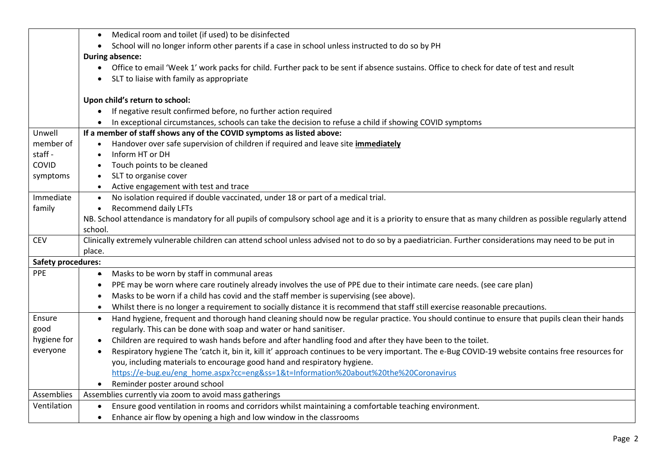|                           | Medical room and toilet (if used) to be disinfected                                                                                                          |
|---------------------------|--------------------------------------------------------------------------------------------------------------------------------------------------------------|
|                           | School will no longer inform other parents if a case in school unless instructed to do so by PH<br>$\bullet$                                                 |
|                           | <b>During absence:</b>                                                                                                                                       |
|                           | • Office to email 'Week 1' work packs for child. Further pack to be sent if absence sustains. Office to check for date of test and result                    |
|                           | SLT to liaise with family as appropriate                                                                                                                     |
|                           |                                                                                                                                                              |
|                           | Upon child's return to school:                                                                                                                               |
|                           | If negative result confirmed before, no further action required                                                                                              |
|                           | In exceptional circumstances, schools can take the decision to refuse a child if showing COVID symptoms                                                      |
| Unwell                    | If a member of staff shows any of the COVID symptoms as listed above:                                                                                        |
| member of                 | Handover over safe supervision of children if required and leave site <i>immediately</i>                                                                     |
| staff -                   | Inform HT or DH                                                                                                                                              |
| COVID                     | Touch points to be cleaned                                                                                                                                   |
| symptoms                  | SLT to organise cover                                                                                                                                        |
|                           | Active engagement with test and trace                                                                                                                        |
| Immediate                 | No isolation required if double vaccinated, under 18 or part of a medical trial.<br>$\bullet$                                                                |
| family                    | <b>Recommend daily LFTs</b><br>$\bullet$                                                                                                                     |
|                           | NB. School attendance is mandatory for all pupils of compulsory school age and it is a priority to ensure that as many children as possible regularly attend |
|                           | school.                                                                                                                                                      |
| <b>CEV</b>                | Clinically extremely vulnerable children can attend school unless advised not to do so by a paediatrician. Further considerations may need to be put in      |
|                           | place.                                                                                                                                                       |
| <b>Safety procedures:</b> |                                                                                                                                                              |
| PPE                       | Masks to be worn by staff in communal areas<br>$\bullet$                                                                                                     |
|                           | PPE may be worn where care routinely already involves the use of PPE due to their intimate care needs. (see care plan)<br>٠                                  |
|                           | Masks to be worn if a child has covid and the staff member is supervising (see above).                                                                       |
|                           | Whilst there is no longer a requirement to socially distance it is recommend that staff still exercise reasonable precautions.                               |
| Ensure                    | Hand hygiene, frequent and thorough hand cleaning should now be regular practice. You should continue to ensure that pupils clean their hands<br>$\bullet$   |
| good                      | regularly. This can be done with soap and water or hand sanitiser.                                                                                           |
| hygiene for               | Children are required to wash hands before and after handling food and after they have been to the toilet.<br>$\bullet$                                      |
| everyone                  | Respiratory hygiene The 'catch it, bin it, kill it' approach continues to be very important. The e-Bug COVID-19 website contains free resources for          |
|                           | you, including materials to encourage good hand and respiratory hygiene.                                                                                     |
|                           | https://e-bug.eu/eng home.aspx?cc=eng&ss=1&t=Information%20about%20the%20Coronavirus                                                                         |
|                           | Reminder poster around school                                                                                                                                |
| Assemblies                | Assemblies currently via zoom to avoid mass gatherings                                                                                                       |
| Ventilation               | Ensure good ventilation in rooms and corridors whilst maintaining a comfortable teaching environment.                                                        |
|                           | Enhance air flow by opening a high and low window in the classrooms<br>$\bullet$                                                                             |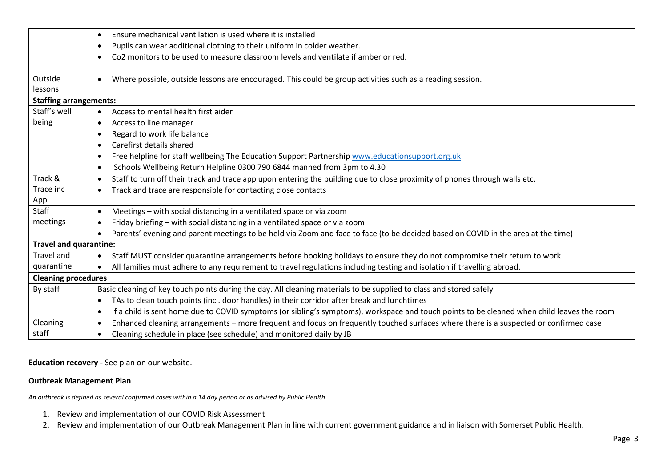|                               | Ensure mechanical ventilation is used where it is installed                                                                                             |
|-------------------------------|---------------------------------------------------------------------------------------------------------------------------------------------------------|
|                               | Pupils can wear additional clothing to their uniform in colder weather.<br>$\bullet$                                                                    |
|                               | Co2 monitors to be used to measure classroom levels and ventilate if amber or red.                                                                      |
|                               |                                                                                                                                                         |
| Outside                       | Where possible, outside lessons are encouraged. This could be group activities such as a reading session.                                               |
| lessons                       |                                                                                                                                                         |
| <b>Staffing arrangements:</b> |                                                                                                                                                         |
| Staff's well                  | Access to mental health first aider<br>$\bullet$                                                                                                        |
| being                         | Access to line manager<br>$\bullet$                                                                                                                     |
|                               | Regard to work life balance                                                                                                                             |
|                               | Carefirst details shared                                                                                                                                |
|                               | Free helpline for staff wellbeing The Education Support Partnership www.educationsupport.org.uk                                                         |
|                               | Schools Wellbeing Return Helpline 0300 790 6844 manned from 3pm to 4.30                                                                                 |
| Track &                       | Staff to turn off their track and trace app upon entering the building due to close proximity of phones through walls etc.                              |
| Trace inc                     | Track and trace are responsible for contacting close contacts                                                                                           |
| App                           |                                                                                                                                                         |
| <b>Staff</b>                  | Meetings - with social distancing in a ventilated space or via zoom                                                                                     |
| meetings                      | Friday briefing – with social distancing in a ventilated space or via zoom                                                                              |
|                               | Parents' evening and parent meetings to be held via Zoom and face to face (to be decided based on COVID in the area at the time)                        |
| <b>Travel and quarantine:</b> |                                                                                                                                                         |
| <b>Travel and</b>             | Staff MUST consider quarantine arrangements before booking holidays to ensure they do not compromise their return to work<br>$\bullet$                  |
| quarantine                    | All families must adhere to any requirement to travel regulations including testing and isolation if travelling abroad.<br>$\bullet$                    |
| <b>Cleaning procedures</b>    |                                                                                                                                                         |
| By staff                      | Basic cleaning of key touch points during the day. All cleaning materials to be supplied to class and stored safely                                     |
|                               | TAs to clean touch points (incl. door handles) in their corridor after break and lunchtimes<br>$\bullet$                                                |
|                               | If a child is sent home due to COVID symptoms (or sibling's symptoms), workspace and touch points to be cleaned when child leaves the room<br>$\bullet$ |
| Cleaning                      | Enhanced cleaning arrangements - more frequent and focus on frequently touched surfaces where there is a suspected or confirmed case                    |
| staff                         | Cleaning schedule in place (see schedule) and monitored daily by JB                                                                                     |

**Education recovery -** See plan on our website.

# **Outbreak Management Plan**

*An outbreak is defined as several confirmed cases within a 14 day period or as advised by Public Health*

- 1. Review and implementation of our COVID Risk Assessment
- 2. Review and implementation of our Outbreak Management Plan in line with current government guidance and in liaison with Somerset Public Health.